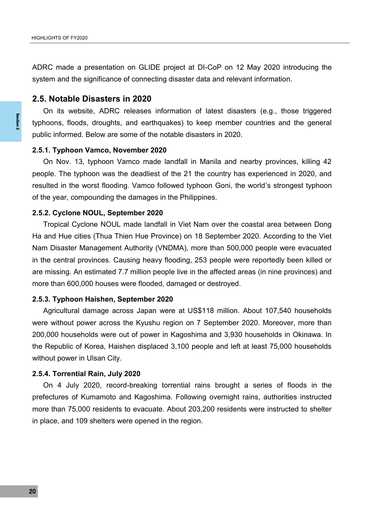ADRC made a presentation on GLIDE project at DI-CoP on 12 May 2020 introducing the system and the significance of connecting disaster data and relevant information.

## **2.5. Notable Disasters in 2020**

On its website, ADRC releases information of latest disasters (e.g., those triggered typhoons, floods, droughts, and earthquakes) to keep member countries and the general public informed. Below are some of the notable disasters in 2020.

# **2.5.1. Typhoon Vamco, November 2020**

On Nov. 13, typhoon Vamco made landfall in Manila and nearby provinces, killing 42 people. The typhoon was the deadliest of the 21 the country has experienced in 2020, and resulted in the worst flooding. Vamco followed typhoon Goni, the world's strongest typhoon of the year, compounding the damages in the Philippines.

#### **2.5.2. Cyclone NOUL, September 2020**

ty<br>
<sup>2</sup><br>
2.<br>
Pre of<br>
2.<br>
H N in an<br>
2.<br>
W 2.<br>
W 2.<br>
pr m<br>
2.<br>
pr m<br>
in Tropical Cyclone NOUL made landfall in Viet Nam over the coastal area between Dong Ha and Hue cities (Thua Thien Hue Province) on 18 September 2020. According to the Viet Nam Disaster Management Authority (VNDMA), more than 500,000 people were evacuated in the central provinces. Causing heavy flooding, 253 people were reportedly been killed or are missing. An estimated 7.7 million people live in the affected areas (in nine provinces) and more than 600,000 houses were flooded, damaged or destroyed.

#### **2.5.3. Typhoon Haishen, September 2020**

Agricultural damage across Japan were at US\$118 million. About 107,540 households were without power across the Kyushu region on 7 September 2020. Moreover, more than 200,000 households were out of power in Kagoshima and 3,930 households in Okinawa. In the Republic of Korea, Haishen displaced 3,100 people and left at least 75,000 households without power in Ulsan City.

### **2.5.4. Torrential Rain, July 2020**

On 4 July 2020, record-breaking torrential rains brought a series of floods in the prefectures of Kumamoto and Kagoshima. Following overnight rains, authorities instructed more than 75,000 residents to evacuate. About 203,200 residents were instructed to shelter in place, and 109 shelters were opened in the region.